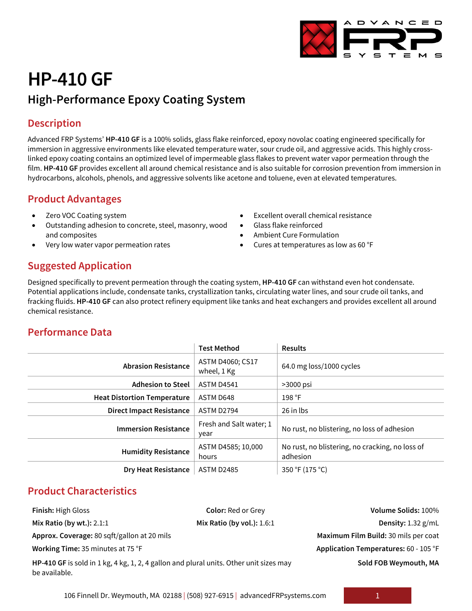# **HP-410 GF High-Performance Epoxy Coating System**

## **Description**

Advanced FRP Systems' **HP-410 GF** is a 100% solids, glass flake reinforced, epoxy novolac coating engineered specifically for immersion in aggressive environments like elevated temperature water, sour crude oil, and aggressive acids. This highly crosslinked epoxy coating contains an optimized level of impermeable glass flakes to prevent water vapor permeation through the film. **HP-410 GF** provides excellent all around chemical resistance and is also suitable for corrosion prevention from immersion in hydrocarbons, alcohols, phenols, and aggressive solvents like acetone and toluene, even at elevated temperatures.

### **Product Advantages**

- Zero VOC Coating system
- Outstanding adhesion to concrete, steel, masonry, wood and composites
- Very low water vapor permeation rates
- Excellent overall chemical resistance
- Glass flake reinforced
- Ambient Cure Formulation
- Cures at temperatures as low as 60 °F

# **Suggested Application**

Designed specifically to prevent permeation through the coating system, **HP-410 GF** can withstand even hot condensate. Potential applications include, condensate tanks, crystallization tanks, circulating water lines, and sour crude oil tanks, and fracking fluids. **HP-410 GF** can also protect refinery equipment like tanks and heat exchangers and provides excellent all around chemical resistance.

# **Performance Data**

|                                    | <b>Test Method</b>              | <b>Results</b>                                              |
|------------------------------------|---------------------------------|-------------------------------------------------------------|
| <b>Abrasion Resistance</b>         | ASTM D4060; CS17<br>wheel, 1 Kg | 64.0 mg loss/1000 cycles                                    |
| <b>Adhesion to Steel</b>           | <b>ASTM D4541</b>               | >3000 psi                                                   |
| <b>Heat Distortion Temperature</b> | ASTM D648                       | 198 °F                                                      |
| <b>Direct Impact Resistance</b>    | ASTM D2794                      | 26 in lbs                                                   |
| <b>Immersion Resistance</b>        | Fresh and Salt water; 1<br>year | No rust, no blistering, no loss of adhesion                 |
| <b>Humidity Resistance</b>         | ASTM D4585; 10,000<br>hours     | No rust, no blistering, no cracking, no loss of<br>adhesion |
| <b>Dry Heat Resistance</b>         | <b>ASTM D2485</b>               | 350 °F (175 °C)                                             |

### **Product Characteristics**

**Approx. Coverage:** 80 sqft/gallon at 20 mils **Maximum Film Build:** 30 mils per coat

**HP-410 GF** is sold in 1 kg, 4 kg, 1, 2, 4 gallon and plural units. Other unit sizes may be available.

**Finish:** High Gloss **Color:** Red or Grey **Volume Solids:** 100% **Mix Ratio (by wt.):** 2.1:1 **Mix Ratio (by vol.):** 1.6:1 **Density:** 1.32 g/mL **Working Time:** 35 minutes at 75 °F **Application Temperatures:** 60 - 105 °F **Sold FOB Weymouth, MA**

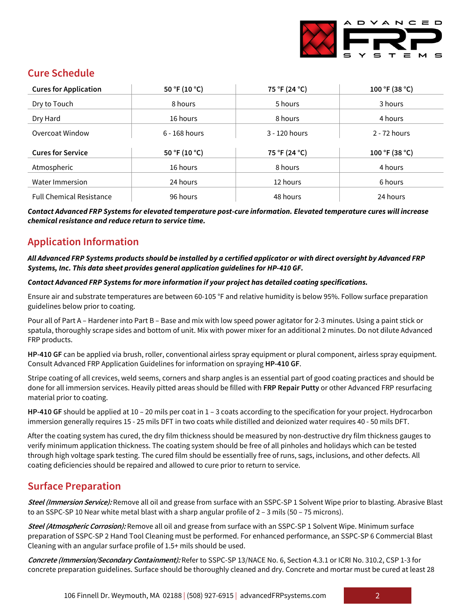

### **Cure Schedule**

| <b>Cures for Application</b>    | 50 °F (10 °C)   | 75 °F (24 °C) | 100 °F (38 °C) |
|---------------------------------|-----------------|---------------|----------------|
| Dry to Touch                    | 8 hours         | 5 hours       | 3 hours        |
| Dry Hard                        | 16 hours        | 8 hours       | 4 hours        |
| Overcoat Window                 | $6 - 168$ hours | 3 - 120 hours | 2 - 72 hours   |
| <b>Cures for Service</b>        | 50 °F (10 °C)   | 75 °F (24 °C) | 100 °F (38 °C) |
| Atmospheric                     | 16 hours        | 8 hours       | 4 hours        |
| Water Immersion                 | 24 hours        | 12 hours      | 6 hours        |
| <b>Full Chemical Resistance</b> | 96 hours        | 48 hours      | 24 hours       |

*Contact Advanced FRP Systems for elevated temperature post-cure information. Elevated temperature cures will increase chemical resistance and reduce return to service time.*

# **Application Information**

#### *All Advanced FRP Systems products should be installed by a certified applicator or with direct oversight by Advanced FRP Systems, Inc. This data sheet provides general application guidelines for HP-410 GF.*

#### *Contact Advanced FRP Systems for more information if your project has detailed coating specifications.*

Ensure air and substrate temperatures are between 60-105 °F and relative humidity is below 95%. Follow surface preparation guidelines below prior to coating.

Pour all of Part A – Hardener into Part B – Base and mix with low speed power agitator for 2-3 minutes. Using a paint stick or spatula, thoroughly scrape sides and bottom of unit. Mix with power mixer for an additional 2 minutes. Do not dilute Advanced FRP products.

**HP-410 GF** can be applied via brush, roller, conventional airless spray equipment or plural component, airless spray equipment. Consult Advanced FRP Application Guidelines for information on spraying **HP-410 GF**.

Stripe coating of all crevices, weld seems, corners and sharp angles is an essential part of good coating practices and should be done for all immersion services. Heavily pitted areas should be filled with **FRP Repair Putty** or other Advanced FRP resurfacing material prior to coating.

**HP-410 GF** should be applied at 10 – 20 mils per coat in 1 – 3 coats according to the specification for your project. Hydrocarbon immersion generally requires 15 - 25 mils DFT in two coats while distilled and deionized water requires 40 - 50 mils DFT.

After the coating system has cured, the dry film thickness should be measured by non-destructive dry film thickness gauges to verify minimum application thickness. The coating system should be free of all pinholes and holidays which can be tested through high voltage spark testing. The cured film should be essentially free of runs, sags, inclusions, and other defects. All coating deficiencies should be repaired and allowed to cure prior to return to service.

### **Surface Preparation**

**Steel (Immersion Service):** Remove all oil and grease from surface with an SSPC-SP 1 Solvent Wipe prior to blasting. Abrasive Blast to an SSPC-SP 10 Near white metal blast with a sharp angular profile of 2 – 3 mils (50 – 75 microns).

**Steel (Atmospheric Corrosion):** Remove all oil and grease from surface with an SSPC-SP 1 Solvent Wipe. Minimum surface preparation of SSPC-SP 2 Hand Tool Cleaning must be performed. For enhanced performance, an SSPC-SP 6 Commercial Blast Cleaning with an angular surface profile of 1.5+ mils should be used.

**Concrete (Immersion/Secondary Containment):** Refer to SSPC-SP 13/NACE No. 6, Section 4.3.1 or ICRI No. 310.2, CSP 1-3 for concrete preparation guidelines. Surface should be thoroughly cleaned and dry. Concrete and mortar must be cured at least 28